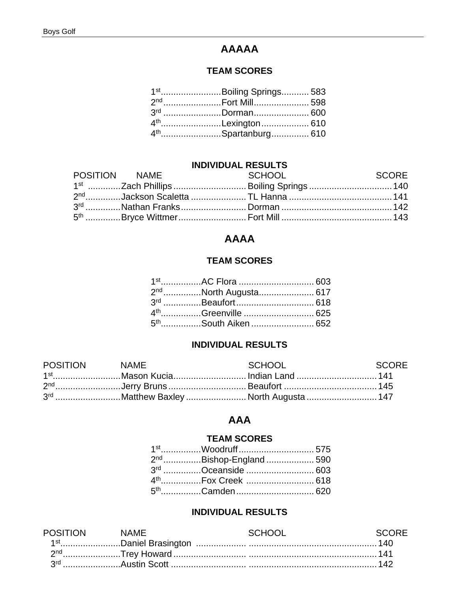# **AAAAA**

## **TEAM SCORES**

| 1 <sup>st</sup> Boiling Springs 583 |  |
|-------------------------------------|--|
|                                     |  |
| 3rd Dorman 600                      |  |
| 4 <sup>th</sup> Lexington 610       |  |
| 4 <sup>th</sup> Spartanburg 610     |  |

## **INDIVIDUAL RESULTS**

| POSITION NAME | <b>Example 2018 SCHOOL</b> | <b>SCORE</b> SCORE |
|---------------|----------------------------|--------------------|
|               |                            |                    |
|               |                            |                    |
|               |                            |                    |
|               |                            |                    |

# **AAAA**

## **TEAM SCORES**

| 2 <sup>nd</sup> North Augusta 617 |  |
|-----------------------------------|--|
|                                   |  |
|                                   |  |
| 5 <sup>th</sup> South Aiken  652  |  |

## **INDIVIDUAL RESULTS**

| POSITION NAME | SCHOOL                                     | SCORE |
|---------------|--------------------------------------------|-------|
|               | 1 <sup>st</sup> Mason KuciaIndian Land 141 |       |
|               |                                            |       |
|               | 3rd Matthew Baxley  North Augusta  147     |       |

## **AAA**

## **TEAM SCORES**

| 2 <sup>nd</sup> Bishop-England 590 |  |
|------------------------------------|--|
| 3rd Oceanside  603                 |  |
|                                    |  |
|                                    |  |

#### **INDIVIDUAL RESULTS**

| NAMH |  |
|------|--|
|      |  |
|      |  |
|      |  |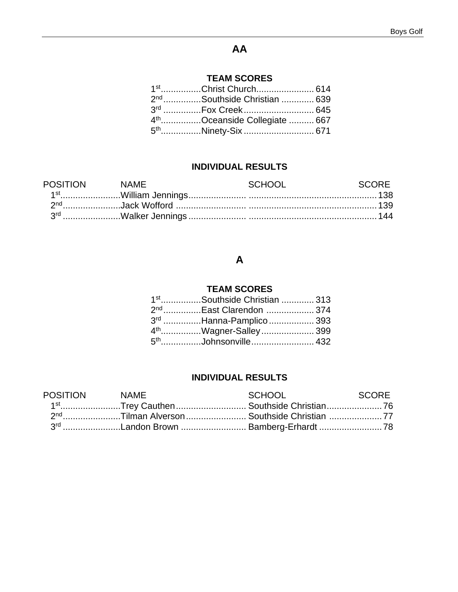## **AA**

## **TEAM SCORES**

|  | 1 <sup>st</sup> Christ Church 614         |  |
|--|-------------------------------------------|--|
|  | 2 <sup>nd</sup> Southside Christian  639  |  |
|  |                                           |  |
|  | 4 <sup>th</sup> Oceanside Collegiate  667 |  |
|  |                                           |  |

## **INDIVIDUAL RESULTS**

| <b>POSITION</b> | NAMF | SCHOOL | - SCORE |
|-----------------|------|--------|---------|
|                 |      |        |         |
|                 |      |        |         |
|                 |      |        |         |

# **A**

## **TEAM SCORES**

|  | 1 <sup>st</sup> Southside Christian  313 |  |
|--|------------------------------------------|--|
|  | 2 <sup>nd</sup> East Clarendon  374      |  |
|  | 3 <sup>rd</sup> Hanna-Pamplico  393      |  |
|  | 4 <sup>th</sup> Wagner-Salley 399        |  |
|  |                                          |  |

## **INDIVIDUAL RESULTS**

| POSITION NAME | SCHOOL                                                 | SCORE |
|---------------|--------------------------------------------------------|-------|
|               | 1 <sup>st</sup> Trey Cauthen Southside Christian76     |       |
|               | 2 <sup>nd</sup> Tilman Alverson Southside Christian 77 |       |
|               | 3 <sup>rd</sup> Landon Brown  Bamberg-Erhardt 78       |       |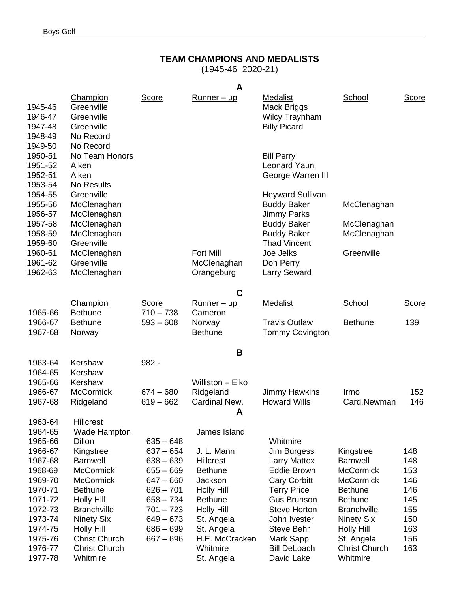## **TEAM CHAMPIONS AND MEDALISTS**

(1945-46 2020-21)

|                                                     |                                                                              |              | A                                             |                                                                                |                            |              |
|-----------------------------------------------------|------------------------------------------------------------------------------|--------------|-----------------------------------------------|--------------------------------------------------------------------------------|----------------------------|--------------|
| 1945-46<br>1946-47<br>1947-48<br>1948-49<br>1949-50 | Champion<br>Greenville<br>Greenville<br>Greenville<br>No Record<br>No Record | <b>Score</b> | <u>Runner – up</u>                            | Medalist<br><b>Mack Briggs</b><br><b>Wilcy Traynham</b><br><b>Billy Picard</b> | School                     | <b>Score</b> |
| 1950-51<br>1951-52<br>1952-51<br>1953-54            | No Team Honors<br>Aiken<br>Aiken<br><b>No Results</b>                        |              |                                               | <b>Bill Perry</b><br><b>Leonard Yaun</b><br>George Warren III                  |                            |              |
| 1954-55<br>1955-56<br>1956-57                       | Greenville<br>McClenaghan<br>McClenaghan                                     |              |                                               | <b>Heyward Sullivan</b><br><b>Buddy Baker</b><br><b>Jimmy Parks</b>            | McClenaghan                |              |
| 1957-58<br>1958-59<br>1959-60                       | McClenaghan<br>McClenaghan<br>Greenville                                     |              |                                               | <b>Buddy Baker</b><br><b>Buddy Baker</b><br><b>Thad Vincent</b>                | McClenaghan<br>McClenaghan |              |
| 1960-61<br>1961-62<br>1962-63                       | McClenaghan<br>Greenville<br>McClenaghan                                     |              | <b>Fort Mill</b><br>McClenaghan<br>Orangeburg | Joe Jelks<br>Don Perry<br><b>Larry Seward</b>                                  | Greenville                 |              |
|                                                     |                                                                              |              | C                                             |                                                                                |                            |              |
|                                                     | Champion                                                                     | <b>Score</b> | <u>Runner – up</u>                            | <b>Medalist</b>                                                                | School                     | <b>Score</b> |
| 1965-66                                             | <b>Bethune</b>                                                               | $710 - 738$  | Cameron                                       |                                                                                |                            |              |
| 1966-67<br>1967-68                                  | <b>Bethune</b><br>Norway                                                     | $593 - 608$  | Norway<br><b>Bethune</b>                      | <b>Travis Outlaw</b><br><b>Tommy Covington</b>                                 | <b>Bethune</b>             | 139          |
|                                                     |                                                                              |              | B                                             |                                                                                |                            |              |
| 1963-64                                             | Kershaw                                                                      | $982 -$      |                                               |                                                                                |                            |              |
| 1964-65                                             | Kershaw                                                                      |              |                                               |                                                                                |                            |              |
| 1965-66                                             | Kershaw                                                                      |              | Williston - Elko                              |                                                                                |                            |              |
| 1966-67                                             | <b>McCormick</b>                                                             | $674 - 680$  | Ridgeland                                     | <b>Jimmy Hawkins</b><br><b>Howard Wills</b>                                    | Irmo<br>Card.Newman        | 152          |
| 1967-68                                             | Ridgeland                                                                    | $619 - 662$  | Cardinal New.<br>A                            |                                                                                |                            | 146          |
| 1963-64                                             | <b>Hillcrest</b>                                                             |              |                                               |                                                                                |                            |              |
| 1964-65                                             | Wade Hampton                                                                 |              | James Island                                  |                                                                                |                            |              |
| 1965-66                                             | Dillon                                                                       | $635 - 648$  |                                               | Whitmire                                                                       |                            |              |
| 1966-67                                             | Kingstree                                                                    | $637 - 654$  | J. L. Mann                                    | Jim Burgess                                                                    | Kingstree                  | 148          |
| 1967-68                                             | <b>Barnwell</b>                                                              | $638 - 639$  | <b>Hillcrest</b>                              | <b>Larry Mattox</b>                                                            | <b>Barnwell</b>            | 148          |
| 1968-69                                             | <b>McCormick</b>                                                             | $655 - 669$  | <b>Bethune</b>                                | <b>Eddie Brown</b>                                                             | <b>McCormick</b>           | 153          |
| 1969-70                                             | <b>McCormick</b>                                                             | $647 - 660$  | Jackson                                       | <b>Cary Corbitt</b>                                                            | <b>McCormick</b>           | 146          |
| 1970-71                                             | <b>Bethune</b>                                                               | $626 - 701$  | <b>Holly Hill</b>                             | <b>Terry Price</b>                                                             | <b>Bethune</b>             | 146          |
| 1971-72                                             | <b>Holly Hill</b>                                                            | $658 - 734$  | <b>Bethune</b>                                | <b>Gus Brunson</b>                                                             | <b>Bethune</b>             | 145          |
| 1972-73                                             | <b>Branchville</b>                                                           | $701 - 723$  | <b>Holly Hill</b>                             | <b>Steve Horton</b>                                                            | <b>Branchville</b>         | 155          |
| 1973-74                                             | <b>Ninety Six</b>                                                            | $649 - 673$  | St. Angela                                    | John Ivester                                                                   | <b>Ninety Six</b>          | 150          |
| 1974-75                                             | <b>Holly Hill</b>                                                            | $686 - 699$  | St. Angela                                    | <b>Steve Behr</b>                                                              | <b>Holly Hill</b>          | 163          |
| 1975-76                                             | <b>Christ Church</b>                                                         | $667 - 696$  | H.E. McCracken                                | Mark Sapp                                                                      | St. Angela                 | 156          |
| 1976-77                                             | <b>Christ Church</b>                                                         |              | Whitmire                                      | <b>Bill DeLoach</b>                                                            | <b>Christ Church</b>       | 163          |
| 1977-78                                             | Whitmire                                                                     |              | St. Angela                                    | David Lake                                                                     | Whitmire                   |              |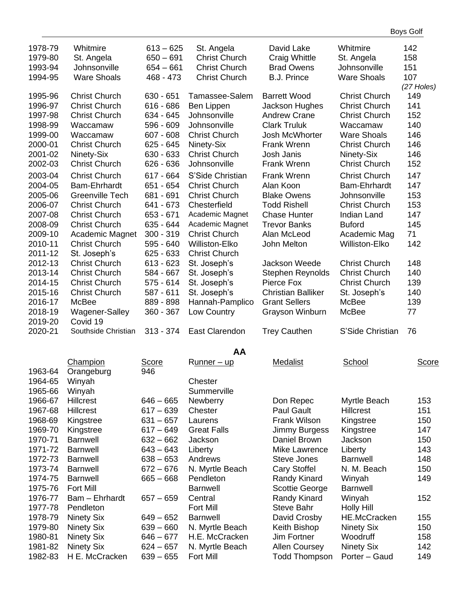| 1978-79<br>1979-80<br>1993-94<br>1994-95 | Whitmire<br>St. Angela<br>Johnsonville<br><b>Ware Shoals</b> | $613 - 625$<br>$650 - 691$<br>$654 - 661$<br>468 - 473 | St. Angela<br><b>Christ Church</b><br><b>Christ Church</b><br><b>Christ Church</b> | David Lake<br>Craig Whittle<br><b>Brad Owens</b><br><b>B.J. Prince</b> | Whitmire<br>St. Angela<br>Johnsonville<br><b>Ware Shoals</b> | 142<br>158<br>151<br>107 |
|------------------------------------------|--------------------------------------------------------------|--------------------------------------------------------|------------------------------------------------------------------------------------|------------------------------------------------------------------------|--------------------------------------------------------------|--------------------------|
|                                          |                                                              |                                                        |                                                                                    |                                                                        |                                                              | (27 Holes)               |
| 1995-96                                  | <b>Christ Church</b>                                         | $630 - 651$                                            | Tamassee-Salem                                                                     | <b>Barrett Wood</b>                                                    | <b>Christ Church</b>                                         | 149                      |
| 1996-97                                  | <b>Christ Church</b>                                         | $616 - 686$                                            | Ben Lippen                                                                         | Jackson Hughes                                                         | <b>Christ Church</b>                                         | 141                      |
| 1997-98                                  | <b>Christ Church</b>                                         | 634 - 645                                              | Johnsonville                                                                       | <b>Andrew Crane</b>                                                    | <b>Christ Church</b>                                         | 152                      |
| 1998-99                                  | Waccamaw                                                     | 596 - 609                                              | Johnsonville<br><b>Christ Church</b>                                               | <b>Clark Truluk</b>                                                    | Waccamaw                                                     | 140                      |
| 1999-00                                  | Waccamaw                                                     | $607 - 608$                                            |                                                                                    | Josh McWhorter                                                         | <b>Ware Shoals</b>                                           | 146                      |
| 2000-01                                  | <b>Christ Church</b>                                         | 625 - 645                                              | Ninety-Six<br><b>Christ Church</b>                                                 | Frank Wrenn<br>Josh Janis                                              | <b>Christ Church</b>                                         | 146<br>146               |
| 2001-02                                  | Ninety-Six<br><b>Christ Church</b>                           | $630 - 633$                                            | Johnsonville                                                                       | <b>Frank Wrenn</b>                                                     | Ninety-Six<br><b>Christ Church</b>                           |                          |
| 2002-03                                  |                                                              | $626 - 636$                                            |                                                                                    |                                                                        |                                                              | 152                      |
| 2003-04                                  | <b>Christ Church</b>                                         | $617 - 664$                                            | S'Side Christian                                                                   | Frank Wrenn                                                            | <b>Christ Church</b>                                         | 147                      |
| 2004-05                                  | <b>Bam-Ehrhardt</b>                                          | 651 - 654                                              | <b>Christ Church</b>                                                               | Alan Koon                                                              | Bam-Ehrhardt                                                 | 147                      |
| 2005-06                                  | <b>Greenville Tech</b>                                       | 681 - 691                                              | <b>Christ Church</b>                                                               | <b>Blake Owens</b>                                                     | Johnsonville                                                 | 153                      |
| 2006-07                                  | <b>Christ Church</b>                                         | 641 - 673                                              | Chesterfield                                                                       | <b>Todd Rishell</b>                                                    | <b>Christ Church</b>                                         | 153                      |
| 2007-08                                  | <b>Christ Church</b>                                         | $653 - 671$                                            | Academic Magnet                                                                    | <b>Chase Hunter</b>                                                    | <b>Indian Land</b>                                           | 147                      |
| 2008-09                                  | <b>Christ Church</b>                                         | $635 - 644$                                            | Academic Magnet                                                                    | <b>Trevor Banks</b>                                                    | <b>Buford</b>                                                | 145                      |
| 2009-10                                  | Academic Magnet                                              | $300 - 319$                                            | <b>Christ Church</b>                                                               | Alan McLeod                                                            | Academic Mag                                                 | 71                       |
| 2010-11                                  | <b>Christ Church</b>                                         | 595 - 640                                              | Williston-Elko                                                                     | John Melton                                                            | Williston-Elko                                               | 142                      |
| 2011-12                                  | St. Joseph's                                                 | $625 - 633$                                            | <b>Christ Church</b>                                                               |                                                                        |                                                              |                          |
| 2012-13                                  | <b>Christ Church</b>                                         | $613 - 623$                                            | St. Joseph's                                                                       | Jackson Weede                                                          | <b>Christ Church</b>                                         | 148                      |
| 2013-14                                  | <b>Christ Church</b>                                         | 584 - 667                                              | St. Joseph's                                                                       | Stephen Reynolds                                                       | <b>Christ Church</b>                                         | 140                      |
| 2014-15                                  | <b>Christ Church</b>                                         | $575 - 614$                                            | St. Joseph's                                                                       | Pierce Fox                                                             | <b>Christ Church</b>                                         | 139                      |
| 2015-16                                  | <b>Christ Church</b>                                         | 587 - 611                                              | St. Joseph's                                                                       | <b>Christian Balliker</b>                                              | St. Joseph's                                                 | 140                      |
| 2016-17                                  | McBee                                                        | 889 - 898                                              | Hannah-Pamplico                                                                    | <b>Grant Sellers</b>                                                   | McBee                                                        | 139                      |
| 2018-19                                  | Wagener-Salley                                               | 360 - 367                                              | Low Country                                                                        | Grayson Winburn                                                        | McBee                                                        | 77                       |
| 2019-20                                  | Covid 19                                                     |                                                        |                                                                                    |                                                                        |                                                              |                          |
| 2020-21                                  | Southside Christian                                          | $313 - 374$                                            | <b>East Clarendon</b>                                                              | <b>Trey Cauthen</b>                                                    | S'Side Christian                                             | 76                       |
|                                          |                                                              |                                                        | AA                                                                                 |                                                                        |                                                              |                          |
|                                          | Champion                                                     | Score                                                  | Runner – up                                                                        | <b>Medalist</b>                                                        | School                                                       | <b>Score</b>             |
| 1963-64                                  | Orangeburg                                                   | 946                                                    |                                                                                    |                                                                        |                                                              |                          |
| 1964-65                                  | Winyah                                                       |                                                        | Chester                                                                            |                                                                        |                                                              |                          |
| 1965-66                                  | Winyah                                                       |                                                        | Summerville                                                                        |                                                                        |                                                              |                          |
| 1966-67                                  | <b>Hillcrest</b>                                             | $646 - 665$                                            | <b>Newberry</b>                                                                    | Don Repec                                                              | Myrtle Beach                                                 | 153                      |
| 1967-68                                  | <b>Hillcrest</b>                                             | $617 - 639$                                            | Chester                                                                            | <b>Paul Gault</b>                                                      | <b>Hillcrest</b>                                             | 151                      |
| 1968-69                                  | Kingstree                                                    | $631 - 657$                                            | Laurens                                                                            | Frank Wilson                                                           | Kingstree                                                    | 150                      |
| 1969-70                                  | Kingstree                                                    | $617 - 649$                                            | <b>Great Falls</b>                                                                 | <b>Jimmy Burgess</b>                                                   | Kingstree                                                    | 147                      |
| 1970-71                                  | <b>Barnwell</b>                                              | $632 - 662$                                            | Jackson                                                                            | Daniel Brown                                                           | Jackson                                                      | 150                      |
| 1971-72                                  | <b>Barnwell</b>                                              | $643 - 643$                                            | Liberty                                                                            | Mike Lawrence                                                          | Liberty                                                      | 143                      |
| 1972-73                                  | <b>Barnwell</b>                                              | $638 - 653$                                            | Andrews                                                                            | Steve Jones                                                            | <b>Barnwell</b>                                              | 148                      |
| 1973-74                                  | <b>Barnwell</b>                                              | $672 - 676$                                            | N. Myrtle Beach                                                                    | Cary Stoffel                                                           | N. M. Beach                                                  | 150                      |
| 1974-75                                  | <b>Barnwell</b>                                              | $665 - 668$                                            | Pendleton                                                                          | Randy Kinard                                                           | Winyah                                                       | 149                      |
| 1975-76                                  | <b>Fort Mill</b>                                             |                                                        | <b>Barnwell</b>                                                                    | Scottie George                                                         | <b>Barnwell</b>                                              |                          |
| 1976-77                                  | Bam - Ehrhardt                                               | $657 - 659$                                            | Central                                                                            | Randy Kinard                                                           | Winyah                                                       | 152                      |
| 1977-78                                  | Pendleton                                                    |                                                        | <b>Fort Mill</b>                                                                   | <b>Steve Bahr</b>                                                      | <b>Holly Hill</b>                                            |                          |
| 1978-79                                  | Ninety Six                                                   | $649 - 652$                                            | <b>Barnwell</b>                                                                    | David Crosby                                                           | <b>HE.McCracken</b>                                          | 155                      |
| 1979-80                                  | Ninety Six                                                   | $639 - 660$                                            | N. Myrtle Beach                                                                    | Keith Bishop                                                           | <b>Ninety Six</b>                                            | 150                      |
| 1980-81                                  | <b>Ninety Six</b>                                            | $646 - 677$                                            | H.E. McCracken                                                                     | Jim Fortner                                                            | Woodruff                                                     | 158                      |
| 1981-82                                  | <b>Ninety Six</b>                                            | $624 - 657$                                            | N. Myrtle Beach                                                                    | <b>Allen Coursey</b>                                                   | <b>Ninety Six</b>                                            | 142                      |
| 1982-83                                  | H E. McCracken                                               | $639 - 655$                                            | Fort Mill                                                                          | <b>Todd Thompson</b>                                                   | Porter - Gaud                                                | 149                      |

Boys Golf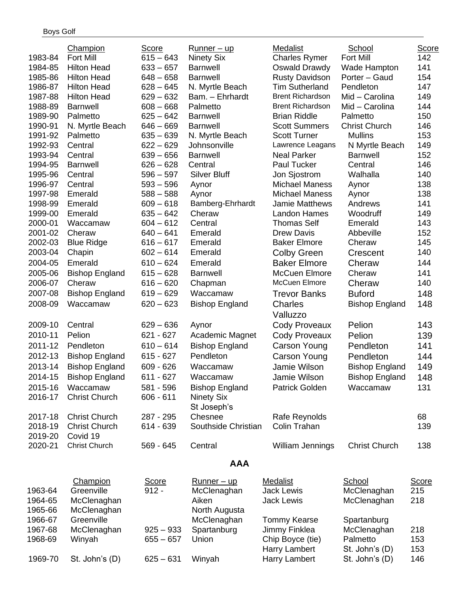|         | Champion              | Score        | <u>Runner – up</u>    | Medalist                | School                | Score        |
|---------|-----------------------|--------------|-----------------------|-------------------------|-----------------------|--------------|
| 1983-84 | <b>Fort Mill</b>      | $615 - 643$  | <b>Ninety Six</b>     | <b>Charles Rymer</b>    | <b>Fort Mill</b>      | 142          |
| 1984-85 | <b>Hilton Head</b>    | $633 - 657$  | <b>Barnwell</b>       | Oswald Drawdy           | Wade Hampton          | 141          |
| 1985-86 | <b>Hilton Head</b>    | $648 - 658$  | <b>Barnwell</b>       | <b>Rusty Davidson</b>   | Porter - Gaud         | 154          |
| 1986-87 | <b>Hilton Head</b>    | $628 - 645$  | N. Myrtle Beach       | <b>Tim Sutherland</b>   | Pendleton             | 147          |
| 1987-88 | <b>Hilton Head</b>    | 629 – 632    | Bam. - Ehrhardt       | <b>Brent Richardson</b> | Mid - Carolina        | 149          |
| 1988-89 | <b>Barnwell</b>       | $608 - 668$  | Palmetto              | <b>Brent Richardson</b> | Mid - Carolina        | 144          |
| 1989-90 | Palmetto              | $625 - 642$  | <b>Barnwell</b>       | <b>Brian Riddle</b>     | Palmetto              | 150          |
| 1990-91 | N. Myrtle Beach       | $646 - 669$  | <b>Barnwell</b>       | <b>Scott Summers</b>    | <b>Christ Church</b>  | 146          |
| 1991-92 | Palmetto              | $635 - 639$  | N. Myrtle Beach       | <b>Scott Turner</b>     | <b>Mullins</b>        | 153          |
| 1992-93 | Central               | $622 - 629$  | Johnsonville          | Lawrence Leagans        | N Myrtle Beach        | 149          |
| 1993-94 | Central               | $639 - 656$  | <b>Barnwell</b>       | <b>Neal Parker</b>      | <b>Barnwell</b>       | 152          |
| 1994-95 | <b>Barnwell</b>       | $626 - 628$  | Central               | Paul Tucker             | Central               | 146          |
| 1995-96 | Central               | $596 - 597$  | <b>Silver Bluff</b>   | Jon Sjostrom            | Walhalla              | 140          |
| 1996-97 | Central               | $593 - 596$  | Aynor                 | <b>Michael Maness</b>   | Aynor                 | 138          |
| 1997-98 | Emerald               | $588 - 588$  | Aynor                 | <b>Michael Maness</b>   | Aynor                 | 138          |
| 1998-99 | Emerald               | $609 - 618$  | Bamberg-Ehrhardt      | Jamie Matthews          | Andrews               | 141          |
| 1999-00 | Emerald               | $635 - 642$  | Cheraw                | Landon Hames            | Woodruff              | 149          |
| 2000-01 | Waccamaw              | $604 - 612$  | Central               | <b>Thomas Self</b>      | Emerald               | 143          |
| 2001-02 | Cheraw                | $640 - 641$  | Emerald               | <b>Drew Davis</b>       | Abbeville             | 152          |
| 2002-03 | <b>Blue Ridge</b>     | $616 - 617$  | Emerald               | <b>Baker Elmore</b>     | Cheraw                | 145          |
| 2003-04 | Chapin                | $602 - 614$  | Emerald               | <b>Colby Green</b>      | Crescent              | 140          |
| 2004-05 | Emerald               | $610 - 624$  | Emerald               | <b>Baker Elmore</b>     | Cheraw                | 144          |
| 2005-06 | <b>Bishop England</b> | $615 - 628$  | <b>Barnwell</b>       | <b>McCuen Elmore</b>    | Cheraw                | 141          |
| 2006-07 | Cheraw                | $616 - 620$  | Chapman               | McCuen Elmore           | Cheraw                | 140          |
| 2007-08 | <b>Bishop England</b> | $619 - 629$  | Waccamaw              | <b>Trevor Banks</b>     | <b>Buford</b>         | 148          |
| 2008-09 | Waccamaw              | $620 - 623$  | <b>Bishop England</b> | Charles                 | <b>Bishop England</b> | 148          |
|         |                       |              |                       | Valluzzo                |                       |              |
| 2009-10 | Central               | $629 - 636$  | Aynor                 | <b>Cody Proveaux</b>    | Pelion                | 143          |
| 2010-11 | Pelion                | 621 - 627    | Academic Magnet       | <b>Cody Proveaux</b>    | Pelion                | 139          |
| 2011-12 | Pendleton             | $610 - 614$  | <b>Bishop England</b> |                         | Pendleton             | 141          |
|         |                       |              |                       | Carson Young            |                       |              |
| 2012-13 | <b>Bishop England</b> | $615 - 627$  | Pendleton             | <b>Carson Young</b>     | Pendleton             | 144          |
| 2013-14 | <b>Bishop England</b> | $609 - 626$  | Waccamaw              | Jamie Wilson            | <b>Bishop England</b> | 149          |
| 2014-15 | <b>Bishop England</b> | 611 - 627    | Waccamaw              | Jamie Wilson            | <b>Bishop England</b> | 148          |
| 2015-16 | Waccamaw              | 581 - 596    | <b>Bishop England</b> | <b>Patrick Golden</b>   | Waccamaw              | 131          |
| 2016-17 | <b>Christ Church</b>  | $606 - 611$  | <b>Ninety Six</b>     |                         |                       |              |
|         |                       |              | St Joseph's           |                         |                       |              |
| 2017-18 | <b>Christ Church</b>  | 287 - 295    | Chesnee               | Rafe Reynolds           |                       | 68           |
| 2018-19 | <b>Christ Church</b>  | 614 - 639    | Southside Christian   | Colin Trahan            |                       | 139          |
| 2019-20 | Covid 19              |              |                       |                         |                       |              |
| 2020-21 | <b>Christ Church</b>  | 569 - 645    | Central               | William Jennings        | <b>Christ Church</b>  | 138          |
|         |                       |              | <b>AAA</b>            |                         |                       |              |
|         | Champion              | <b>Score</b> | Runner - up           | Medalist                | School                | <b>Score</b> |
| 1963-64 | Greenville            | $912 -$      | McClenaghan           | <b>Jack Lewis</b>       | McClenaghan           | 215          |
| 1964-65 | McClenaghan           |              | Aiken                 | <b>Jack Lewis</b>       | McClenaghan           | 218          |
| 1965-66 | McClenaghan           |              | North Augusta         |                         |                       |              |
| 1966-67 | Greenville            |              | McClenaghan           | <b>Tommy Kearse</b>     | Spartanburg           |              |
| 1967-68 | McClenaghan           | $925 - 933$  | Spartanburg           | Jimmy Finklea           | McClenaghan           | 218          |
| 1968-69 | Winyah                | $655 - 657$  | Union                 | Chip Boyce (tie)        | Palmetto              | 153          |
|         |                       |              |                       | Harry Lambert           | St. John's (D)        | 153          |
| 1969-70 | St. John's (D)        | $625 - 631$  | Winyah                | Harry Lambert           | St. John's (D)        | 146          |
|         |                       |              |                       |                         |                       |              |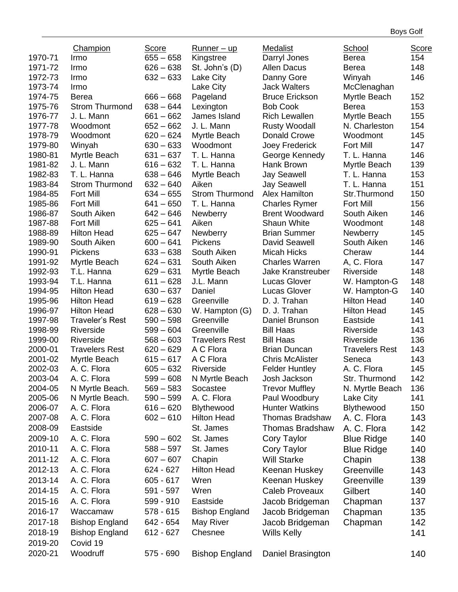|                    | <b>Champion</b>                    | Score                      | <u>Runner – up</u>          | Medalist                              | School                | Score      |
|--------------------|------------------------------------|----------------------------|-----------------------------|---------------------------------------|-----------------------|------------|
| 1970-71            | Irmo                               | $655 - 658$                | Kingstree                   | Darryl Jones                          | Berea                 | 154        |
| 1971-72            | Irmo                               | $626 - 638$                | St. John's (D)              | <b>Allen Dacus</b>                    | Berea                 | 148        |
| 1972-73            | Irmo                               | $632 - 633$                | Lake City                   | Danny Gore                            | Winyah                | 146        |
| 1973-74            | Irmo                               |                            | Lake City                   | <b>Jack Walters</b>                   | McClenaghan           |            |
| 1974-75            | Berea                              | $666 - 668$                | Pageland                    | <b>Bruce Erickson</b>                 | Myrtle Beach          | 152        |
| 1975-76            | <b>Strom Thurmond</b>              | $638 - 644$                | Lexington                   | <b>Bob Cook</b>                       | <b>Berea</b>          | 153        |
| 1976-77            | J. L. Mann                         | $661 - 662$                | James Island                | <b>Rich Lewallen</b>                  | Myrtle Beach          | 155        |
| 1977-78            | Woodmont                           | $652 - 662$                | J. L. Mann                  | <b>Rusty Woodall</b>                  | N. Charleston         | 154        |
| 1978-79            | Woodmont                           | $620 - 624$                | Myrtle Beach                | Donald Crowe                          | Woodmont              | 145        |
| 1979-80            | Winyah                             | $630 - 633$                | Woodmont                    | Joey Frederick                        | <b>Fort Mill</b>      | 147        |
| 1980-81            | Myrtle Beach                       | $631 - 637$                | T. L. Hanna                 | George Kennedy                        | T. L. Hanna           | 146        |
| 1981-82            | J. L. Mann                         | $616 - 632$                | T. L. Hanna                 | Hank Brown                            | Myrtle Beach          | 139        |
| 1982-83            | T. L. Hanna                        | $638 - 646$                | Myrtle Beach                | <b>Jay Seawell</b>                    | T. L. Hanna           | 153        |
| 1983-84            | <b>Strom Thurmond</b>              | $632 - 640$                | Aiken                       | <b>Jay Seawell</b>                    | T. L. Hanna           | 151        |
| 1984-85            | <b>Fort Mill</b>                   | $634 - 655$                | <b>Strom Thurmond</b>       | Alex Hamilton                         | Str.Thurmond          | 150        |
| 1985-86            | <b>Fort Mill</b>                   | $641 - 650$                | T. L. Hanna                 | <b>Charles Rymer</b>                  | <b>Fort Mill</b>      | 156        |
| 1986-87            | South Aiken                        | $642 - 646$                | Newberry                    | <b>Brent Woodward</b>                 | South Aiken           | 146        |
| 1987-88            | <b>Fort Mill</b>                   | $625 - 641$                | Aiken                       | Shaun White                           | Woodmont              | 148        |
| 1988-89            | <b>Hilton Head</b>                 | $625 - 647$                | Newberry                    | <b>Brian Summer</b>                   | <b>Newberry</b>       | 145        |
| 1989-90            | South Aiken                        | $600 - 641$                | <b>Pickens</b>              | David Seawell                         | South Aiken           | 146        |
| 1990-91            | <b>Pickens</b>                     | $633 - 638$                | South Aiken                 | <b>Micah Hicks</b>                    | Cheraw                | 144        |
| 1991-92            | Myrtle Beach                       | $624 - 631$                | South Aiken                 | <b>Charles Warren</b>                 | A, C. Flora           | 147        |
| 1992-93            | T.L. Hanna                         | $629 - 631$                | Myrtle Beach                | <b>Jake Kranstreuber</b>              | Riverside             | 148        |
| 1993-94            | T.L. Hanna                         | $611 - 628$                | J.L. Mann                   | <b>Lucas Glover</b>                   | W. Hampton-G          | 148        |
| 1994-95            | <b>Hilton Head</b>                 | $630 - 637$                | Daniel                      | <b>Lucas Glover</b>                   | W. Hampton-G          | 140        |
| 1995-96            | <b>Hilton Head</b>                 | $619 - 628$                | Greenville                  | D. J. Trahan                          | <b>Hilton Head</b>    | 140        |
| 1996-97            | <b>Hilton Head</b>                 | $628 - 630$                | W. Hampton (G)              | D. J. Trahan                          | <b>Hilton Head</b>    | 145        |
| 1997-98            | <b>Traveler's Rest</b>             | $590 - 598$                | Greenville                  | Daniel Brunson                        | Eastside              | 141        |
| 1998-99            | Riverside                          | $599 - 604$                | Greenville                  | <b>Bill Haas</b>                      | Riverside             | 143        |
| 1999-00            | Riverside                          | $568 - 603$                | <b>Travelers Rest</b>       | <b>Bill Haas</b>                      | Riverside             | 136        |
| 2000-01            | <b>Travelers Rest</b>              | $620 - 629$                | A C Flora                   | <b>Brian Duncan</b>                   | <b>Travelers Rest</b> | 143        |
| 2001-02<br>2002-03 | Myrtle Beach                       | $615 - 617$                | A C Flora                   | <b>Chris McAlister</b>                | Seneca<br>A. C. Flora | 143<br>145 |
| 2003-04            | A. C. Flora<br>A. C. Flora         | $605 - 632$<br>$599 - 608$ | Riverside<br>N Myrtle Beach | <b>Felder Huntley</b><br>Josh Jackson | Str. Thurmond         | 142        |
| 2004-05            |                                    | $569 - 583$                | Socastee                    | <b>Trevor Muffley</b>                 | N. Myrtle Beach       | 136        |
| 2005-06            | N Myrtle Beach.<br>N Myrtle Beach. | $590 - 599$                | A. C. Flora                 | Paul Woodbury                         | Lake City             | 141        |
| 2006-07            | A. C. Flora                        | $616 - 620$                | Blythewood                  | <b>Hunter Watkins</b>                 | Blythewood            | 150        |
| 2007-08            | A. C. Flora                        | $602 - 610$                | <b>Hilton Head</b>          | Thomas Bradshaw                       | A. C. Flora           | 143        |
| 2008-09            | Eastside                           |                            | St. James                   | <b>Thomas Bradshaw</b>                | A. C. Flora           | 142        |
| 2009-10            | A. C. Flora                        | $590 - 602$                | St. James                   |                                       |                       | 140        |
| 2010-11            | A. C. Flora                        | $588 - 597$                |                             | Cory Taylor                           | <b>Blue Ridge</b>     |            |
| 2011-12            |                                    |                            | St. James                   | Cory Taylor                           | <b>Blue Ridge</b>     | 140        |
|                    | A. C. Flora                        | $607 - 607$                | Chapin                      | <b>Will Starke</b>                    | Chapin                | 138        |
| 2012-13            | A. C. Flora                        | $624 - 627$                | <b>Hilton Head</b>          | Keenan Huskey                         | Greenville            | 143        |
| 2013-14            | A. C. Flora                        | $605 - 617$                | Wren                        | Keenan Huskey                         | Greenville            | 139        |
| 2014-15            | A. C. Flora                        | 591 - 597                  | Wren                        | Caleb Proveaux                        | Gilbert               | 140        |
| 2015-16            | A. C. Flora                        | 599 - 910                  | Eastside                    | Jacob Bridgeman                       | Chapman               | 137        |
| 2016-17            | Waccamaw                           | $578 - 615$                | <b>Bishop England</b>       | Jacob Bridgeman                       | Chapman               | 135        |
| 2017-18            | <b>Bishop England</b>              | 642 - 654                  | May River                   | Jacob Bridgeman                       | Chapman               | 142        |
| 2018-19            | <b>Bishop England</b>              | $612 - 627$                | Chesnee                     | Wills Kelly                           |                       | 141        |
| 2019-20            | Covid 19                           |                            |                             |                                       |                       |            |
| 2020-21            | Woodruff                           | 575 - 690                  | <b>Bishop England</b>       | Daniel Brasington                     |                       | 140        |

Boys Golf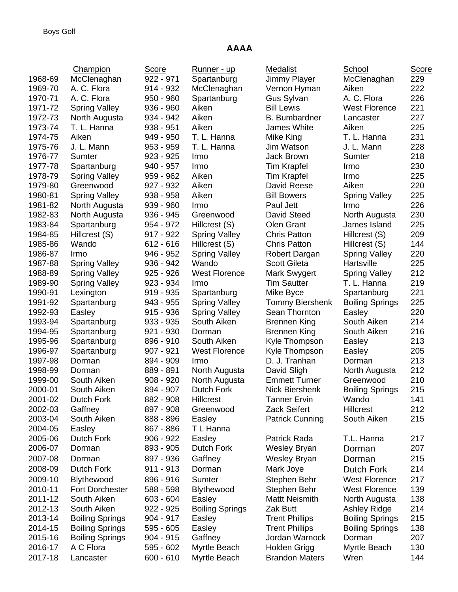## **AAAA**

|         | Champion               | Score       | Runner - up            | Medalist               | School                 | <b>Score</b> |
|---------|------------------------|-------------|------------------------|------------------------|------------------------|--------------|
| 1968-69 | McClenaghan            | 922 - 971   | Spartanburg            | Jimmy Player           | McClenaghan            | 229          |
| 1969-70 | A. C. Flora            | 914 - 932   | McClenaghan            | Vernon Hyman           | Aiken                  | 222          |
| 1970-71 | A. C. Flora            | $950 - 960$ | Spartanburg            | Gus Sylvan             | A. C. Flora            | 226          |
| 1971-72 | <b>Spring Valley</b>   | 936 - 960   | Aiken                  | <b>Bill Lewis</b>      | <b>West Florence</b>   | 221          |
| 1972-73 | North Augusta          | 934 - 942   | Aiken                  | <b>B.</b> Bumbardner   | Lancaster              | 227          |
| 1973-74 | T. L. Hanna            | $938 - 951$ | Aiken                  | James White            | Aiken                  | 225          |
| 1974-75 | Aiken                  | 949 - 950   | T. L. Hanna            | Mike King              | T. L. Hanna            | 231          |
| 1975-76 | J. L. Mann             | 953 - 959   | T. L. Hanna            | Jim Watson             | J. L. Mann             | 228          |
| 1976-77 | Sumter                 | $923 - 925$ | Irmo                   | Jack Brown             | Sumter                 | 218          |
| 1977-78 | Spartanburg            | 940 - 957   | Irmo                   | <b>Tim Krapfel</b>     | Irmo                   | 230          |
| 1978-79 | <b>Spring Valley</b>   | $959 - 962$ | Aiken                  | Tim Krapfel            | Irmo                   | 225          |
| 1979-80 | Greenwood              | 927 - 932   | Aiken                  | David Reese            | Aiken                  | 220          |
| 1980-81 | <b>Spring Valley</b>   | $938 - 958$ | Aiken                  | <b>Bill Bowers</b>     | <b>Spring Valley</b>   | 225          |
| 1981-82 | North Augusta          | $939 - 960$ | Irmo                   | Paul Jett              | Irmo                   | 226          |
| 1982-83 | North Augusta          | $936 - 945$ | Greenwood              | David Steed            | North Augusta          | 230          |
| 1983-84 | Spartanburg            | 954 - 972   | Hillcrest (S)          | Olen Grant             | James Island           | 225          |
| 1984-85 | Hillcrest (S)          | 917 - 922   | <b>Spring Valley</b>   | <b>Chris Patton</b>    | Hillcrest (S)          | 209          |
| 1985-86 | Wando                  | $612 - 616$ | Hillcrest (S)          | <b>Chris Patton</b>    | Hillcrest (S)          | 144          |
| 1986-87 | Irmo                   | 946 - 952   | <b>Spring Valley</b>   | Robert Dargan          | <b>Spring Valley</b>   | 220          |
| 1987-88 | <b>Spring Valley</b>   | 936 - 942   | Wando                  | <b>Scott Gileta</b>    | Hartsville             | 225          |
| 1988-89 | <b>Spring Valley</b>   | $925 - 926$ | <b>West Florence</b>   | Mark Swygert           | <b>Spring Valley</b>   | 212          |
| 1989-90 | <b>Spring Valley</b>   | 923 - 934   | Irmo                   | <b>Tim Sautter</b>     | T. L. Hanna            | 219          |
| 1990-91 | Lexington              | $919 - 935$ | Spartanburg            | Mike Byce              | Spartanburg            | 221          |
| 1991-92 | Spartanburg            | 943 - 955   | <b>Spring Valley</b>   | Tommy Biershenk        | <b>Boiling Springs</b> | 225          |
| 1992-93 | Easley                 | $915 - 936$ | <b>Spring Valley</b>   | Sean Thornton          | Easley                 | 220          |
| 1993-94 | Spartanburg            | $933 - 935$ | South Aiken            | <b>Brennen King</b>    | South Aiken            | 214          |
| 1994-95 | Spartanburg            | $921 - 930$ | Dorman                 | <b>Brennen King</b>    | South Aiken            | 216          |
| 1995-96 | Spartanburg            | 896 - 910   | South Aiken            | Kyle Thompson          | Easley                 | 213          |
| 1996-97 | Spartanburg            | 907 - 921   | <b>West Florence</b>   | Kyle Thompson          | Easley                 | 205          |
| 1997-98 | Dorman                 | 894 - 909   | Irmo                   | D. J. Tranhan          | Dorman                 | 213          |
| 1998-99 | Dorman                 | 889 - 891   | North Augusta          | David Sligh            | North Augusta          | 212          |
| 1999-00 | South Aiken            | 908 - 920   | North Augusta          | <b>Emmett Turner</b>   | Greenwood              | 210          |
| 2000-01 | South Aiken            | 894 - 907   | <b>Dutch Fork</b>      | <b>Nick Biershenk</b>  | <b>Boiling Springs</b> | 215          |
| 2001-02 | Dutch Fork             | 882 - 908   | Hillcrest              | <b>Tanner Ervin</b>    | Wando                  | 141          |
| 2002-03 | Gaffney                | 897 - 908   | Greenwood              | Zack Seifert           | <b>Hillcrest</b>       | 212          |
| 2003-04 | South Aiken            | 888 - 896   | Easley                 | <b>Patrick Cunning</b> | South Aiken            | 215          |
| 2004-05 | Easley                 | 867 - 886   | T L Hanna              |                        |                        |              |
| 2005-06 | Dutch Fork             | 906 - 922   | Easley                 | Patrick Rada           | T.L. Hanna             | 217          |
| 2006-07 | Dorman                 | 893 - 905   | Dutch Fork             | Wesley Bryan           |                        | 207          |
|         |                        |             |                        |                        | Dorman                 | 215          |
| 2007-08 | Dorman                 | 897 - 936   | Gaffney                | Wesley Bryan           | Dorman                 |              |
| 2008-09 | Dutch Fork             | $911 - 913$ | Dorman                 | Mark Joye              | <b>Dutch Fork</b>      | 214          |
| 2009-10 | Blythewood             | 896 - 916   | Sumter                 | Stephen Behr           | <b>West Florence</b>   | 217          |
| 2010-11 | <b>Fort Dorchester</b> | 588 - 598   | Blythewood             | Stephen Behr           | <b>West Florence</b>   | 139          |
| 2011-12 | South Aiken            | $603 - 604$ | Easley                 | <b>Mattt Neismith</b>  | North Augusta          | 138          |
| 2012-13 | South Aiken            | $922 - 925$ | <b>Boiling Springs</b> | Zak Butt               | <b>Ashley Ridge</b>    | 214          |
| 2013-14 | <b>Boiling Springs</b> | $904 - 917$ | Easley                 | <b>Trent Phillips</b>  | <b>Boiling Springs</b> | 215          |
| 2014-15 | <b>Boiling Springs</b> | 595 - 605   | Easley                 | <b>Trent Phillips</b>  | <b>Boiling Springs</b> | 138          |
| 2015-16 | <b>Boiling Springs</b> | $904 - 915$ | Gaffney                | Jordan Warnock         | Dorman                 | 207          |
| 2016-17 | A C Flora              | 595 - 602   | Myrtle Beach           | Holden Grigg           | Myrtle Beach           | 130          |
| 2017-18 | Lancaster              | 600 - 610   | Myrtle Beach           | <b>Brandon Maters</b>  | Wren                   | 144          |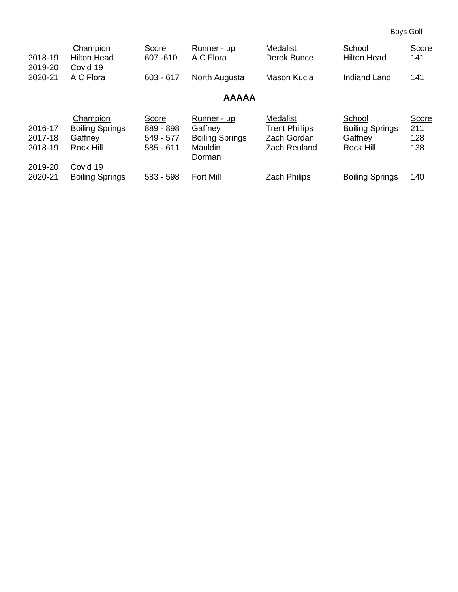Boys Golf

| 2018-19                       | Champion<br><b>Hilton Head</b>                             | Score<br>607-610                               | Runner - up<br>A C Flora                                                     | <b>Medalist</b><br>Derek Bunce                                                 | School<br><b>Hilton Head</b>                                    | Score<br>141               |
|-------------------------------|------------------------------------------------------------|------------------------------------------------|------------------------------------------------------------------------------|--------------------------------------------------------------------------------|-----------------------------------------------------------------|----------------------------|
| 2019-20<br>2020-21            | Covid 19<br>A C Flora                                      | $603 - 617$                                    | North Augusta                                                                | Mason Kucia                                                                    | Indiand Land                                                    | 141                        |
|                               |                                                            |                                                | <b>AAAAA</b>                                                                 |                                                                                |                                                                 |                            |
| 2016-17<br>2017-18<br>2018-19 | Champion<br><b>Boiling Springs</b><br>Gaffney<br>Rock Hill | Score<br>889 - 898<br>549 - 577<br>$585 - 611$ | Runner - up<br>Gaffney<br><b>Boiling Springs</b><br><b>Mauldin</b><br>Dorman | <b>Medalist</b><br><b>Trent Phillips</b><br>Zach Gordan<br><b>Zach Reuland</b> | School<br><b>Boiling Springs</b><br>Gaffney<br><b>Rock Hill</b> | Score<br>211<br>128<br>138 |
| 2019-20<br>2020-21            | Covid 19<br><b>Boiling Springs</b>                         | 583 - 598                                      | <b>Fort Mill</b>                                                             | <b>Zach Philips</b>                                                            | <b>Boiling Springs</b>                                          | 140                        |